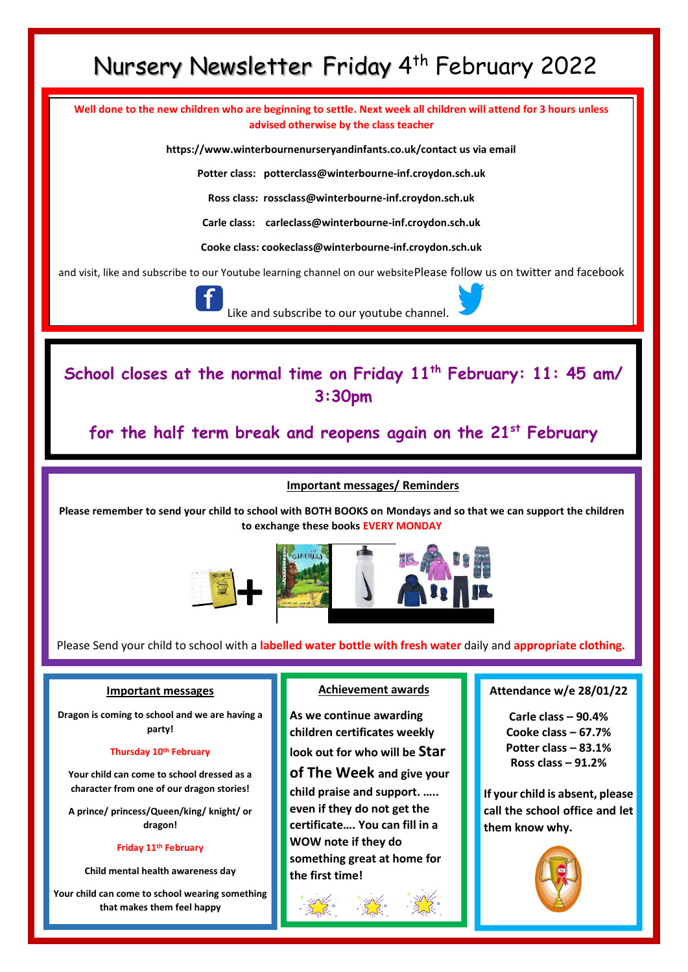# Nursery Newsletter Friday 4 th February 2022

**Well done to the new children who are beginning to settle. Next week all children will attend for 3 hours unless advised otherwise by the class teacher**

**https://www.winterbournenurseryandinfants.co.uk/contact us via email**

**Potter class: potterclass@winterbourne-inf.croydon.sch.uk**

**Ross class: rossclass@winterbourne-inf.croydon.sch.uk**

**Carle class: [carleclass@winterbourne-inf.croydon.sch.uk](mailto:carleclass@winterbourne-inf.croydon.sch.uk)**

**Cooke class: cookeclass@winterbourne-inf.croydon.sch.uk**

and visit, like and subscribe to our Youtube learning channel on our websitePlease follow us on twitter and facebook



Like and subscribe to our youtube channel.

**School closes at the normal time on Friday 11th February: 11: 45 am/ 3:30pm** 

**for the half term break and reopens again on the 21st February**

**Important messages/ Reminders**

**Please remember to send your child to school with BOTH BOOKS on Mondays and so that we can support the children to exchange these books EVERY MONDAY**



Please Send your child to school with a **labelled water bottle with fresh water** daily and **appropriate clothing.**

### **Important messages**

ı

**Dragon is coming to school and we are having a party!** 

#### **Thursday 10th February**

**Your child can come to school dressed as a character from one of our dragon stories!**

**A prince/ princess/Queen/king/ knight/ or dragon!**

#### **Friday 11th February**

**Child mental health awareness day**

**Your child can come to school wearing something that makes them feel happy**

## **Achievement awards**

**As we continue awarding children certificates weekly look out for who will be Star of The Week and give your child praise and support. ….. even if they do not get the certificate…. You can fill in a WOW note if they do something great at home for the first time!** 

### **Attendance w/e 28/01/22**

**Carle class – 90.4% Cooke class – 67.7% Potter class – 83.1% Ross class – 91.2%**

**If your child is absent, please call the school office and let them know why.**